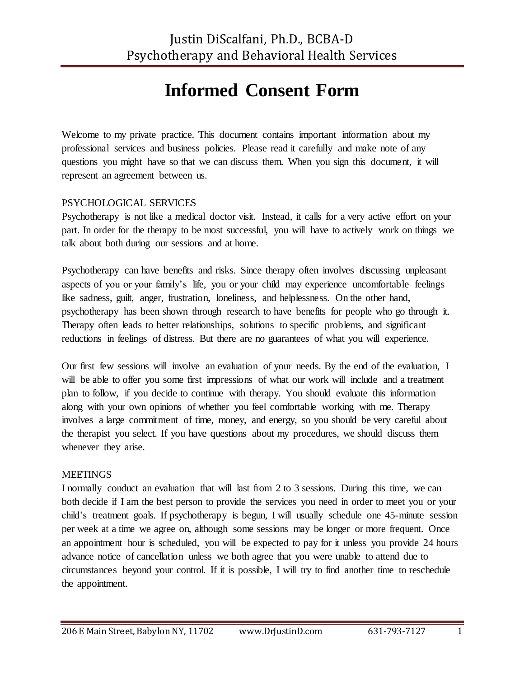# **Informed Consent Form**

Welcome to my private practice. This document contains important information about my professional services and business policies. Please read it carefully and make note of any questions you might have so that we can discuss them. When you sign this document, it will represent an agreement between us.

#### PSYCHOLOGICAL SERVICES

Psychotherapy is not like a medical doctor visit. Instead, it calls for a very active effort on your part. In order for the therapy to be most successful, you will have to actively work on things we talk about both during our sessions and at home.

Psychotherapy can have benefits and risks. Since therapy often involves discussing unpleasant aspects of you or your family's life, you or your child may experience uncomfortable feelings like sadness, guilt, anger, frustration, loneliness, and helplessness. On the other hand, psychotherapy has been shown through research to have benefits for people who go through it. Therapy often leads to better relationships, solutions to specific problems, and significant reductions in feelings of distress. But there are no guarantees of what you will experience.

Our first few sessions will involve an evaluation of your needs. By the end of the evaluation, I will be able to offer you some first impressions of what our work will include and a treatment plan to follow, if you decide to continue with therapy. You should evaluate this information along with your own opinions of whether you feel comfortable working with me. Therapy involves a large commitment of time, money, and energy, so you should be very careful about the therapist you select. If you have questions about my procedures, we should discuss them whenever they arise.

#### **MEETINGS**

I normally conduct an evaluation that will last from 2 to 3 sessions. During this time, we can both decide if I am the best person to provide the services you need in order to meet you or your child's treatment goals. If psychotherapy is begun, I will usually schedule one 45-minute session per week at a time we agree on, although some sessions may be longer or more frequent. Once an appointment hour is scheduled, you will be expected to pay for it unless you provide 24 hours advance notice of cancellation unless we both agree that you were unable to attend due to circumstances beyond your control. If it is possible, I will try to find another time to reschedule the appointment.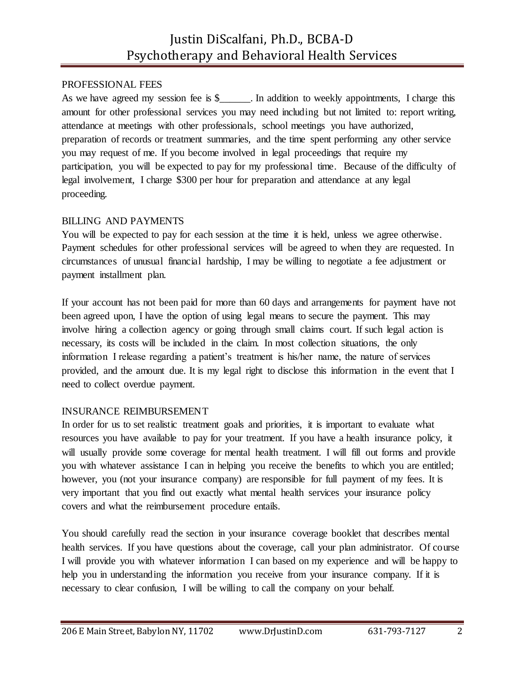### PROFESSIONAL FEES

As we have agreed my session fee is \$\_\_\_\_\_\_. In addition to weekly appointments, I charge this amount for other professional services you may need including but not limited to: report writing, attendance at meetings with other professionals, school meetings you have authorized, preparation of records or treatment summaries, and the time spent performing any other service you may request of me. If you become involved in legal proceedings that require my participation, you will be expected to pay for my professional time. Because of the difficulty of legal involvement, I charge \$300 per hour for preparation and attendance at any legal proceeding.

### BILLING AND PAYMENTS

You will be expected to pay for each session at the time it is held, unless we agree otherwise. Payment schedules for other professional services will be agreed to when they are requested. In circumstances of unusual financial hardship, I may be willing to negotiate a fee adjustment or payment installment plan.

If your account has not been paid for more than 60 days and arrangements for payment have not been agreed upon, I have the option of using legal means to secure the payment. This may involve hiring a collection agency or going through small claims court. If such legal action is necessary, its costs will be included in the claim. In most collection situations, the only information I release regarding a patient's treatment is his/her name, the nature of services provided, and the amount due. It is my legal right to disclose this information in the event that I need to collect overdue payment.

### INSURANCE REIMBURSEMENT

In order for us to set realistic treatment goals and priorities, it is important to evaluate what resources you have available to pay for your treatment. If you have a health insurance policy, it will usually provide some coverage for mental health treatment. I will fill out forms and provide you with whatever assistance I can in helping you receive the benefits to which you are entitled; however, you (not your insurance company) are responsible for full payment of my fees. It is very important that you find out exactly what mental health services your insurance policy covers and what the reimbursement procedure entails.

You should carefully read the section in your insurance coverage booklet that describes mental health services. If you have questions about the coverage, call your plan administrator. Of course I will provide you with whatever information I can based on my experience and will be happy to help you in understanding the information you receive from your insurance company. If it is necessary to clear confusion, I will be willing to call the company on your behalf.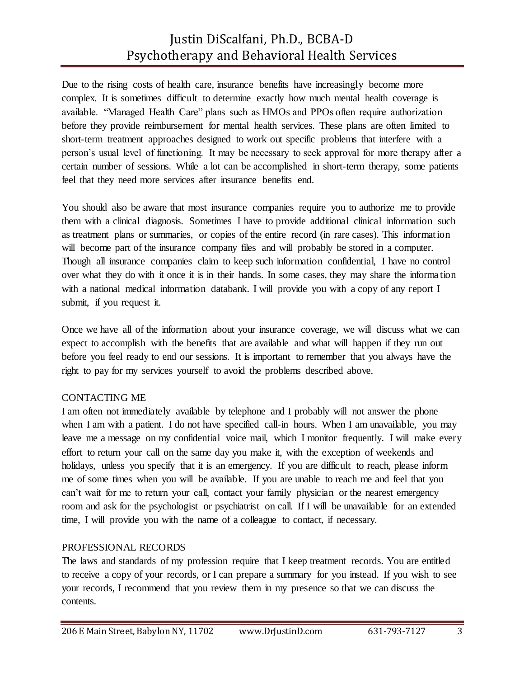Due to the rising costs of health care, insurance benefits have increasingly become more complex. It is sometimes difficult to determine exactly how much mental health coverage is available. "Managed Health Care" plans such as HMOs and PPOs often require authorization before they provide reimbursement for mental health services. These plans are often limited to short-term treatment approaches designed to work out specific problems that interfere with a person's usual level of functioning. It may be necessary to seek approval for more therapy after a certain number of sessions. While a lot can be accomplished in short-term therapy, some patients feel that they need more services after insurance benefits end.

You should also be aware that most insurance companies require you to authorize me to provide them with a clinical diagnosis. Sometimes I have to provide additional clinical information such as treatment plans or summaries, or copies of the entire record (in rare cases). This information will become part of the insurance company files and will probably be stored in a computer. Though all insurance companies claim to keep such information confidential, I have no control over what they do with it once it is in their hands. In some cases, they may share the informa tion with a national medical information databank. I will provide you with a copy of any report I submit, if you request it.

Once we have all of the information about your insurance coverage, we will discuss what we can expect to accomplish with the benefits that are available and what will happen if they run out before you feel ready to end our sessions. It is important to remember that you always have the right to pay for my services yourself to avoid the problems described above.

### CONTACTING ME

I am often not immediately available by telephone and I probably will not answer the phone when I am with a patient. I do not have specified call-in hours. When I am unavailable, you may leave me a message on my confidential voice mail, which I monitor frequently. I will make every effort to return your call on the same day you make it, with the exception of weekends and holidays, unless you specify that it is an emergency. If you are difficult to reach, please inform me of some times when you will be available. If you are unable to reach me and feel that you can't wait for me to return your call, contact your family physician or the nearest emergency room and ask for the psychologist or psychiatrist on call. If I will be unavailable for an extended time, I will provide you with the name of a colleague to contact, if necessary.

#### PROFESSIONAL RECORDS

The laws and standards of my profession require that I keep treatment records. You are entitled to receive a copy of your records, or I can prepare a summary for you instead. If you wish to see your records, I recommend that you review them in my presence so that we can discuss the contents.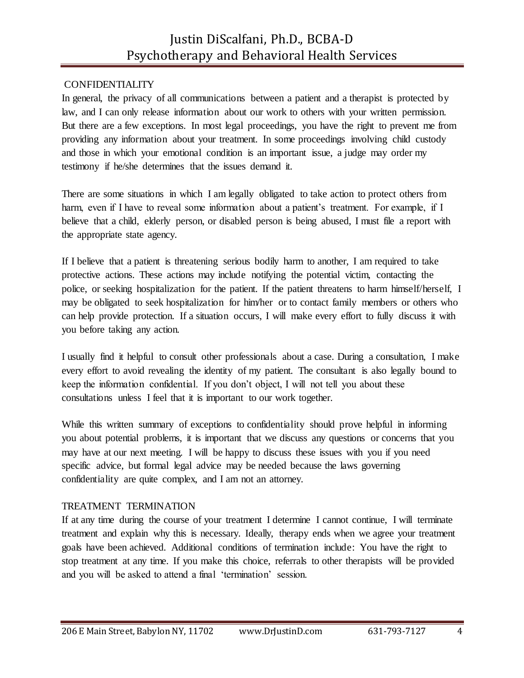### CONFIDENTIALITY

In general, the privacy of all communications between a patient and a therapist is protected by law, and I can only release information about our work to others with your written permission. But there are a few exceptions. In most legal proceedings, you have the right to prevent me from providing any information about your treatment. In some proceedings involving child custody and those in which your emotional condition is an important issue, a judge may order my testimony if he/she determines that the issues demand it.

There are some situations in which I am legally obligated to take action to protect others from harm, even if I have to reveal some information about a patient's treatment. For example, if I believe that a child, elderly person, or disabled person is being abused, I must file a report with the appropriate state agency.

If I believe that a patient is threatening serious bodily harm to another, I am required to take protective actions. These actions may include notifying the potential victim, contacting the police, or seeking hospitalization for the patient. If the patient threatens to harm himself/herself, I may be obligated to seek hospitalization for him/her or to contact family members or others who can help provide protection. If a situation occurs, I will make every effort to fully discuss it with you before taking any action.

I usually find it helpful to consult other professionals about a case. During a consultation, I make every effort to avoid revealing the identity of my patient. The consultant is also legally bound to keep the information confidential. If you don't object, I will not tell you about these consultations unless I feel that it is important to our work together.

While this written summary of exceptions to confidentiality should prove helpful in informing you about potential problems, it is important that we discuss any questions or concerns that you may have at our next meeting. I will be happy to discuss these issues with you if you need specific advice, but formal legal advice may be needed because the laws governing confidentiality are quite complex, and I am not an attorney.

#### TREATMENT TERMINATION

If at any time during the course of your treatment I determine I cannot continue, I will terminate treatment and explain why this is necessary. Ideally, therapy ends when we agree your treatment goals have been achieved. Additional conditions of termination include: You have the right to stop treatment at any time. If you make this choice, referrals to other therapists will be provided and you will be asked to attend a final 'termination' session.